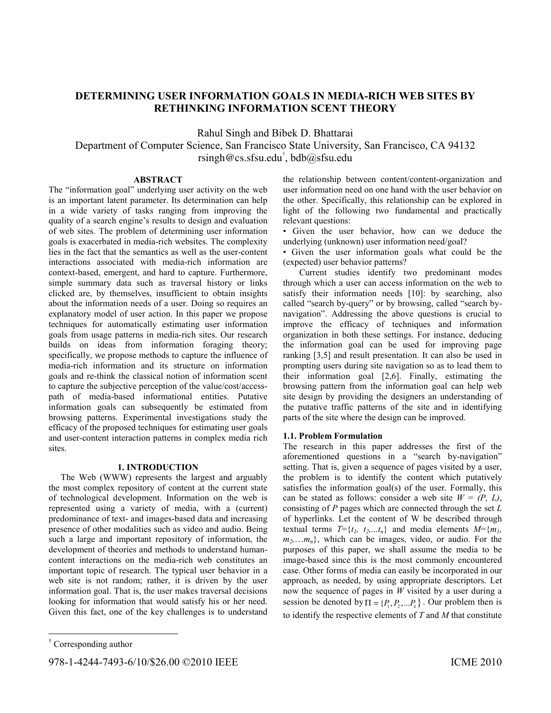# **DETERMINING USER INFORMATION GOALS IN MEDIA-RICH WEB SITES BY RETHINKING INFORMATION SCENT THEORY**

Rahul Singh and Bibek D. Bhattarai

Department of Computer Science, San Francisco State University, San Francisco, CA 94132 rsingh@cs.sfsu.edu† , bdb@sfsu.edu

# **ABSTRACT**

The "information goal" underlying user activity on the web is an important latent parameter. Its determination can help in a wide variety of tasks ranging from improving the quality of a search engine's results to design and evaluation of web sites. The problem of determining user information goals is exacerbated in media-rich websites. The complexity lies in the fact that the semantics as well as the user-content interactions associated with media-rich information are context-based, emergent, and hard to capture. Furthermore, simple summary data such as traversal history or links clicked are, by themselves, insufficient to obtain insights about the information needs of a user. Doing so requires an explanatory model of user action. In this paper we propose techniques for automatically estimating user information goals from usage patterns in media-rich sites. Our research builds on ideas from information foraging theory; specifically, we propose methods to capture the influence of media-rich information and its structure on information goals and re-think the classical notion of information scent to capture the subjective perception of the value/cost/accesspath of media-based informational entities. Putative information goals can subsequently be estimated from browsing patterns. Experimental investigations study the efficacy of the proposed techniques for estimating user goals and user-content interaction patterns in complex media rich sites.

#### **1. INTRODUCTION**

The Web (WWW) represents the largest and arguably the most complex repository of content at the current state of technological development. Information on the web is represented using a variety of media, with a (current) predominance of text- and images-based data and increasing presence of other modalities such as video and audio. Being such a large and important repository of information, the development of theories and methods to understand humancontent interactions on the media-rich web constitutes an important topic of research. The typical user behavior in a web site is not random; rather, it is driven by the user information goal. That is, the user makes traversal decisions looking for information that would satisfy his or her need. Given this fact, one of the key challenges is to understand

 $\overline{a}$ 

the relationship between content/content-organization and user information need on one hand with the user behavior on the other. Specifically, this relationship can be explored in light of the following two fundamental and practically relevant questions:

• Given the user behavior, how can we deduce the underlying (unknown) user information need/goal?

• Given the user information goals what could be the (expected) user behavior patterns?

Current studies identify two predominant modes through which a user can access information on the web to satisfy their information needs [10]: by searching, also called "search by-query" or by browsing, called "search bynavigation". Addressing the above questions is crucial to improve the efficacy of techniques and information organization in both these settings. For instance, deducing the information goal can be used for improving page ranking [3,5] and result presentation. It can also be used in prompting users during site navigation so as to lead them to their information goal [2,6]. Finally, estimating the browsing pattern from the information goal can help web site design by providing the designers an understanding of the putative traffic patterns of the site and in identifying parts of the site where the design can be improved.

# **1.1. Problem Formulation**

The research in this paper addresses the first of the aforementioned questions in a "search by-navigation" setting. That is, given a sequence of pages visited by a user, the problem is to identify the content which putatively satisfies the information goal(s) of the user. Formally, this can be stated as follows: consider a web site  $W = (P, L)$ , consisting of *P* pages which are connected through the set *L* of hyperlinks. Let the content of W be described through textual terms  $T = \{t_1, t_2, \ldots, t_n\}$  and media elements  $M = \{m_1,$  $m_2$ ,  $m_n$ , which can be images, video, or audio. For the purposes of this paper, we shall assume the media to be image-based since this is the most commonly encountered case. Other forms of media can easily be incorporated in our approach, as needed, by using appropriate descriptors. Let now the sequence of pages in *W* visited by a user during a session be denoted by  $\Pi = \{P_1, P_2, ..., P_k\}$ . Our problem then is to identify the respective elements of *T* and *M* that constitute

<sup>†</sup> Corresponding author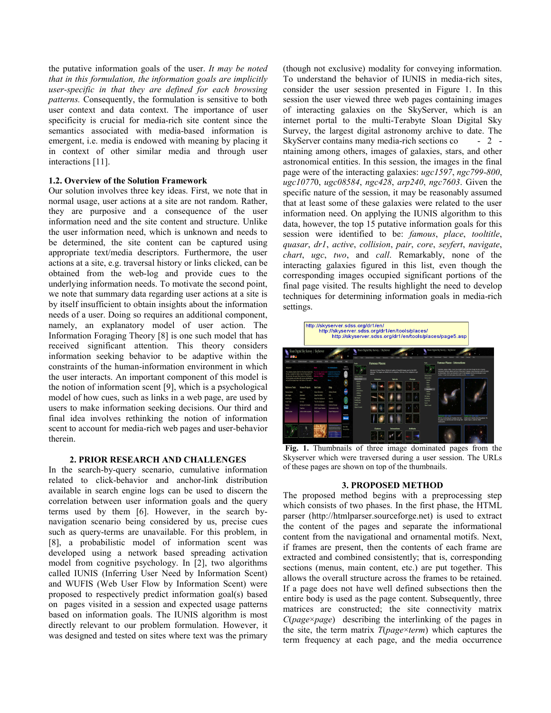the putative information goals of the user. *It may be noted that in this formulation, the information goals are implicitly user-specific in that they are defined for each browsing patterns.* Consequently, the formulation is sensitive to both user context and data context. The importance of user specificity is crucial for media-rich site content since the semantics associated with media-based information is emergent, i.e. media is endowed with meaning by placing it in context of other similar media and through user interactions [11].

#### **1.2. Overview of the Solution Framework**

Our solution involves three key ideas. First, we note that in normal usage, user actions at a site are not random. Rather, they are purposive and a consequence of the user information need and the site content and structure. Unlike the user information need, which is unknown and needs to be determined, the site content can be captured using appropriate text/media descriptors. Furthermore, the user actions at a site, e.g. traversal history or links clicked, can be obtained from the web-log and provide cues to the underlying information needs. To motivate the second point, we note that summary data regarding user actions at a site is by itself insufficient to obtain insights about the information needs of a user. Doing so requires an additional component, namely, an explanatory model of user action. The Information Foraging Theory [8] is one such model that has received significant attention. This theory considers information seeking behavior to be adaptive within the constraints of the human-information environment in which the user interacts. An important component of this model is the notion of information scent [9], which is a psychological model of how cues, such as links in a web page, are used by users to make information seeking decisions. Our third and final idea involves rethinking the notion of information scent to account for media-rich web pages and user-behavior therein.

# **2. PRIOR RESEARCH AND CHALLENGES**

In the search-by-query scenario, cumulative information related to click-behavior and anchor-link distribution available in search engine logs can be used to discern the correlation between user information goals and the query terms used by them [6]. However, in the search bynavigation scenario being considered by us, precise cues such as query-terms are unavailable. For this problem, in [8], a probabilistic model of information scent was developed using a network based spreading activation model from cognitive psychology. In [2], two algorithms called IUNIS (Inferring User Need by Information Scent) and WUFIS (Web User Flow by Information Scent) were proposed to respectively predict information goal(s) based on pages visited in a session and expected usage patterns based on information goals. The IUNIS algorithm is most directly relevant to our problem formulation. However, it was designed and tested on sites where text was the primary

(though not exclusive) modality for conveying information. To understand the behavior of IUNIS in media-rich sites, consider the user session presented in Figure 1. In this session the user viewed three web pages containing images of interacting galaxies on the SkyServer, which is an internet portal to the multi-Terabyte Sloan Digital Sky Survey, the largest digital astronomy archive to date. The SkyServer contains many media-rich sections co - 2 ntaining among others, images of galaxies, stars, and other astronomical entities. In this session, the images in the final page were of the interacting galaxies: *ugc1597*, *ngc799-800*, *ugc1077*0, *ugc08584*, *ngc428*, *arp240*, *ngc7603*. Given the specific nature of the session, it may be reasonably assumed that at least some of these galaxies were related to the user information need. On applying the IUNIS algorithm to this data, however, the top 15 putative information goals for this session were identified to be: *famous*, *place*, *tooltitle*, *quasar*, *dr1*, *active*, *collision*, *pair*, *core*, *seyfert*, *navigate*, *chart*, *ugc*, *two*, and *call*. Remarkably, none of the interacting galaxies figured in this list, even though the corresponding images occupied significant portions of the final page visited. The results highlight the need to develop techniques for determining information goals in media-rich settings.



**Fig. 1.** Thumbnails of three image dominated pages from the Skyserver which were traversed during a user session. The URLs of these pages are shown on top of the thumbnails.

#### **3. PROPOSED METHOD**

The proposed method begins with a preprocessing step which consists of two phases. In the first phase, the HTML parser (http://htmlparser.sourceforge.net) is used to extract the content of the pages and separate the informational content from the navigational and ornamental motifs. Next, if frames are present, then the contents of each frame are extracted and combined consistently; that is, corresponding sections (menus, main content, etc.) are put together. This allows the overall structure across the frames to be retained. If a page does not have well defined subsections then the entire body is used as the page content. Subsequently, three matrices are constructed; the site connectivity matrix *C*(*page*×*page*) describing the interlinking of the pages in the site, the term matrix *T*(*page*×*term*) which captures the term frequency at each page, and the media occurrence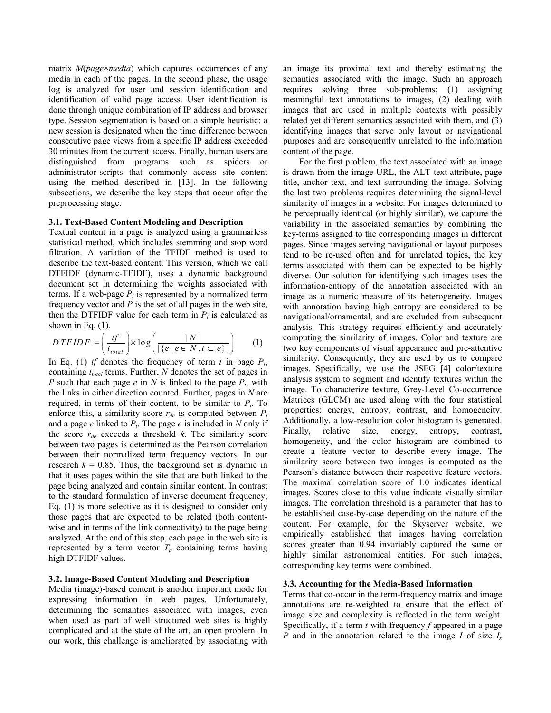matrix *M*(*page*×*media*) which captures occurrences of any media in each of the pages. In the second phase, the usage log is analyzed for user and session identification and identification of valid page access. User identification is done through unique combination of IP address and browser type. Session segmentation is based on a simple heuristic: a new session is designated when the time difference between consecutive page views from a specific IP address exceeded 30 minutes from the current access. Finally, human users are distinguished from programs such as spiders or administrator-scripts that commonly access site content using the method described in [13]. In the following subsections, we describe the key steps that occur after the preprocessing stage.

### **3.1. Text-Based Content Modeling and Description**

Textual content in a page is analyzed using a grammarless statistical method, which includes stemming and stop word filtration. A variation of the TFIDF method is used to describe the text-based content. This version, which we call DTFIDF (dynamic-TFIDF), uses a dynamic background document set in determining the weights associated with terms. If a web-page  $P_i$  is represented by a normalized term frequency vector and *P* is the set of all pages in the web site, then the DTFIDF value for each term in  $P_i$  is calculated as shown in Eq.  $(1)$ .

$$
D\,TFIDF = \left(\frac{tf}{t_{total}}\right) \times \log \left(\frac{|N|}{|\{e \mid e \in N, t \subset e\}|}\right) \tag{1}
$$

In Eq. (1) *tf* denotes the frequency of term *t* in page  $P_i$ , containing  $t_{total}$  terms. Further, *N* denotes the set of pages in *P* such that each page *e* in *N* is linked to the page *Pi*, with the links in either direction counted. Further, pages in *N* are required, in terms of their content, to be similar to *Pi*. To enforce this, a similarity score  $r_{de}$  is computed between  $P_i$ and a page *e* linked to *Pi*. The page *e* is included in *N* only if the score  $r_{de}$  exceeds a threshold  $k$ . The similarity score between two pages is determined as the Pearson correlation between their normalized term frequency vectors. In our research  $k = 0.85$ . Thus, the background set is dynamic in that it uses pages within the site that are both linked to the page being analyzed and contain similar content. In contrast to the standard formulation of inverse document frequency, Eq. (1) is more selective as it is designed to consider only those pages that are expected to be related (both contentwise and in terms of the link connectivity) to the page being analyzed. At the end of this step, each page in the web site is represented by a term vector  $T_p$  containing terms having high DTFIDF values.

#### **3.2. Image-Based Content Modeling and Description**

Media (image)-based content is another important mode for expressing information in web pages. Unfortunately, determining the semantics associated with images, even when used as part of well structured web sites is highly complicated and at the state of the art, an open problem. In our work, this challenge is ameliorated by associating with

an image its proximal text and thereby estimating the semantics associated with the image. Such an approach requires solving three sub-problems: (1) assigning meaningful text annotations to images, (2) dealing with images that are used in multiple contexts with possibly related yet different semantics associated with them, and (3) identifying images that serve only layout or navigational purposes and are consequently unrelated to the information content of the page.

For the first problem, the text associated with an image is drawn from the image URL, the ALT text attribute, page title, anchor text, and text surrounding the image. Solving the last two problems requires determining the signal-level similarity of images in a website. For images determined to be perceptually identical (or highly similar), we capture the variability in the associated semantics by combining the key-terms assigned to the corresponding images in different pages. Since images serving navigational or layout purposes tend to be re-used often and for unrelated topics, the key terms associated with them can be expected to be highly diverse. Our solution for identifying such images uses the information-entropy of the annotation associated with an image as a numeric measure of its heterogeneity. Images with annotation having high entropy are considered to be navigational/ornamental, and are excluded from subsequent analysis. This strategy requires efficiently and accurately computing the similarity of images. Color and texture are two key components of visual appearance and pre-attentive similarity. Consequently, they are used by us to compare images. Specifically, we use the JSEG [4] color/texture analysis system to segment and identify textures within the image. To characterize texture, Grey-Level Co-occurrence Matrices (GLCM) are used along with the four statistical properties: energy, entropy, contrast, and homogeneity. Additionally, a low-resolution color histogram is generated. Finally, relative size, energy, entropy, contrast, homogeneity, and the color histogram are combined to create a feature vector to describe every image. The similarity score between two images is computed as the Pearson's distance between their respective feature vectors. The maximal correlation score of 1.0 indicates identical images. Scores close to this value indicate visually similar images. The correlation threshold is a parameter that has to be established case-by-case depending on the nature of the content. For example, for the Skyserver website, we empirically established that images having correlation scores greater than 0.94 invariably captured the same or highly similar astronomical entities. For such images, corresponding key terms were combined.

#### **3.3. Accounting for the Media-Based Information**

Terms that co-occur in the term-frequency matrix and image annotations are re-weighted to ensure that the effect of image size and complexity is reflected in the term weight. Specifically, if a term *t* with frequency *f* appeared in a page *P* and in the annotation related to the image *I* of size *Ix*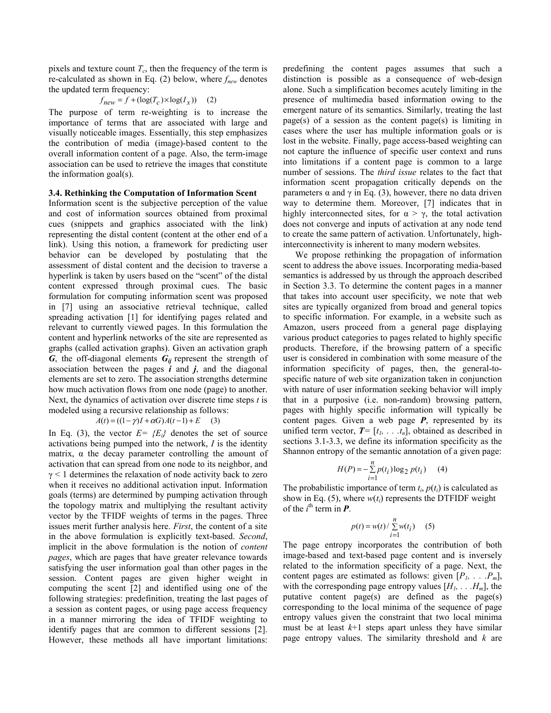pixels and texture count  $T_c$ , then the frequency of the term is re-calculated as shown in Eq. (2) below, where  $f_{new}$  denotes the updated term frequency:

$$
f_{new} = f + (\log(T_c) \times \log(I_x)) \quad (2)
$$

The purpose of term re-weighting is to increase the importance of terms that are associated with large and visually noticeable images. Essentially, this step emphasizes the contribution of media (image)-based content to the overall information content of a page. Also, the term-image association can be used to retrieve the images that constitute the information goal(s).

#### **3.4. Rethinking the Computation of Information Scent**

Information scent is the subjective perception of the value and cost of information sources obtained from proximal cues (snippets and graphics associated with the link) representing the distal content (content at the other end of a link). Using this notion, a framework for predicting user behavior can be developed by postulating that the assessment of distal content and the decision to traverse a hyperlink is taken by users based on the "scent" of the distal content expressed through proximal cues. The basic formulation for computing information scent was proposed in [7] using an associative retrieval technique, called spreading activation [1] for identifying pages related and relevant to currently viewed pages. In this formulation the content and hyperlink networks of the site are represented as graphs (called activation graphs). Given an activation graph *G*, the off-diagonal elements  $G_{ij}$  represent the strength of association between the pages *i* and *j*, and the diagonal elements are set to zero. The association strengths determine how much activation flows from one node (page) to another. Next, the dynamics of activation over discrete time steps *t* is modeled using a recursive relationship as follows:

$$
A(t) = ((1 - \gamma)I + \alpha G)A(t - 1) + E \tag{3}
$$

In Eq. (3), the vector  $E = \{E_i\}$  denotes the set of source activations being pumped into the network, *I* is the identity matrix,  $\alpha$  the decay parameter controlling the amount of activation that can spread from one node to its neighbor, and  $\gamma$  < 1 determines the relaxation of node activity back to zero when it receives no additional activation input. Information goals (terms) are determined by pumping activation through the topology matrix and multiplying the resultant activity vector by the TFIDF weights of terms in the pages. Three issues merit further analysis here. *First*, the content of a site in the above formulation is explicitly text-based. *Second*, implicit in the above formulation is the notion of *content pages*, which are pages that have greater relevance towards satisfying the user information goal than other pages in the session. Content pages are given higher weight in computing the scent [2] and identified using one of the following strategies: predefinition, treating the last pages of a session as content pages, or using page access frequency in a manner mirroring the idea of TFIDF weighting to identify pages that are common to different sessions [2]. However, these methods all have important limitations:

predefining the content pages assumes that such a distinction is possible as a consequence of web-design alone. Such a simplification becomes acutely limiting in the presence of multimedia based information owing to the emergent nature of its semantics. Similarly, treating the last page(s) of a session as the content page(s) is limiting in cases where the user has multiple information goals or is lost in the website. Finally, page access-based weighting can not capture the influence of specific user context and runs into limitations if a content page is common to a large number of sessions. The *third issue* relates to the fact that information scent propagation critically depends on the parameters α and  $\gamma$  in Eq. (3), however, there no data driven way to determine them. Moreover, [7] indicates that in highly interconnected sites, for  $\alpha > \gamma$ , the total activation does not converge and inputs of activation at any node tend to create the same pattern of activation. Unfortunately, highinterconnectivity is inherent to many modern websites.

We propose rethinking the propagation of information scent to address the above issues. Incorporating media-based semantics is addressed by us through the approach described in Section 3.3. To determine the content pages in a manner that takes into account user specificity, we note that web sites are typically organized from broad and general topics to specific information. For example, in a website such as Amazon, users proceed from a general page displaying various product categories to pages related to highly specific products. Therefore, if the browsing pattern of a specific user is considered in combination with some measure of the information specificity of pages, then, the general-tospecific nature of web site organization taken in conjunction with nature of user information seeking behavior will imply that in a purposive (i.e. non-random) browsing pattern, pages with highly specific information will typically be content pages. Given a web page *P*, represented by its unified term vector,  $T = [t_1, \ldots, t_n]$ , obtained as described in sections 3.1-3.3, we define its information specificity as the Shannon entropy of the semantic annotation of a given page:

$$
H(P) = -\sum_{i=1}^{n} p(t_i) \log_2 p(t_i)
$$
 (4)

The probabilistic importance of term  $t_i$ ,  $p(t_i)$  is calculated as show in Eq. (5), where  $w(t_i)$  represents the DTFIDF weight of the  $i^{\text{th}}$  term in  $\boldsymbol{P}$ .

$$
p(t) = w(t) / \sum_{i=1}^{n} w(t_i)
$$
 (5)

The page entropy incorporates the contribution of both image-based and text-based page content and is inversely related to the information specificity of a page. Next, the content pages are estimated as follows: given  $[P_1, \ldots, P_m]$ , with the corresponding page entropy values  $[H_1, \ldots, H_m]$ , the putative content page(s) are defined as the page(s) corresponding to the local minima of the sequence of page entropy values given the constraint that two local minima must be at least  $k+1$  steps apart unless they have similar page entropy values. The similarity threshold and *k* are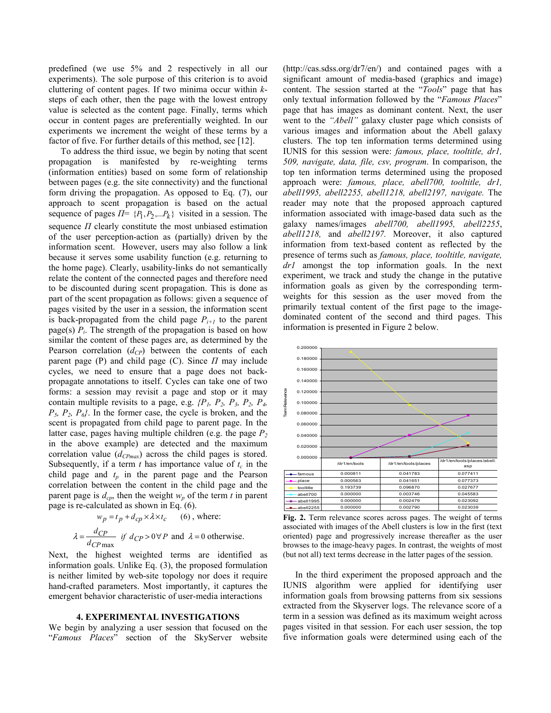predefined (we use 5% and 2 respectively in all our experiments). The sole purpose of this criterion is to avoid cluttering of content pages. If two minima occur within *k*steps of each other, then the page with the lowest entropy value is selected as the content page. Finally, terms which occur in content pages are preferentially weighted. In our experiments we increment the weight of these terms by a factor of five. For further details of this method, see [12].

To address the third issue, we begin by noting that scent propagation is manifested by re-weighting terms (information entities) based on some form of relationship between pages (e.g. the site connectivity) and the functional form driving the propagation. As opposed to Eq. (7), our approach to scent propagation is based on the actual sequence of pages  $\Pi = \{P_1, P_2, \ldots, P_k\}$  visited in a session. The sequence *П* clearly constitute the most unbiased estimation of the user perception-action as (partially) driven by the information scent. However, users may also follow a link because it serves some usability function (e.g. returning to the home page). Clearly, usability-links do not semantically relate the content of the connected pages and therefore need to be discounted during scent propagation. This is done as part of the scent propagation as follows: given a sequence of pages visited by the user in a session, the information scent is back-propagated from the child page  $P_{i+1}$  to the parent page(s) *Pi*. The strength of the propagation is based on how similar the content of these pages are, as determined by the Pearson correlation  $(d_{CP})$  between the contents of each parent page (P) and child page (C). Since *П* may include cycles, we need to ensure that a page does not backpropagate annotations to itself. Cycles can take one of two forms: a session may revisit a page and stop or it may contain multiple revisits to a page, e.g.  $\{P_1, P_2, P_3, P_2, P_4, P_6, P_7, P_8, P_9, P_9, P_{10}\}$  $P_5$ ,  $P_2$ ,  $P_6$ *}*. In the former case, the cycle is broken, and the scent is propagated from child page to parent page. In the latter case, pages having multiple children (e.g. the page *P2* in the above example) are detected and the maximum correlation value  $(d_{CPmax})$  across the child pages is stored. Subsequently, if a term  $t$  has importance value of  $t_c$  in the child page and  $t_p$  in the parent page and the Pearson correlation between the content in the child page and the parent page is  $d_{cp}$ , then the weight  $w_p$  of the term *t* in parent page is re-calculated as shown in Eq. (6).

$$
w_p = t_p + d_{cp} \times \lambda \times t_c
$$
 (6), where:  

$$
\lambda = \frac{d_{CP}}{d_{CP \text{max}}} \text{ if } d_{CP} > 0 \forall P \text{ and } \lambda = 0 \text{ otherwise.}
$$

Next, the highest weighted terms are identified as information goals. Unlike Eq. (3), the proposed formulation is neither limited by web-site topology nor does it require hand-crafted parameters. Most importantly, it captures the emergent behavior characteristic of user-media interactions

#### **4. EXPERIMENTAL INVESTIGATIONS**

We begin by analyzing a user session that focused on the "*Famous Places*" section of the SkyServer website (http://cas.sdss.org/dr7/en/) and contained pages with a significant amount of media-based (graphics and image) content. The session started at the "*Tools*" page that has only textual information followed by the "*Famous Places*" page that has images as dominant content. Next, the user went to the *"Abell"* galaxy cluster page which consists of various images and information about the Abell galaxy clusters. The top ten information terms determined using IUNIS for this session were: *famous, place, tooltitle, dr1, 509, navigate, data, file, csv, program*. In comparison, the top ten information terms determined using the proposed approach were: *famous, place, abell700, tooltitle, dr1, abell1995, abell2255, abell1218, abell2197, navigate.* The reader may note that the proposed approach captured information associated with image-based data such as the galaxy names/images *abell700, abell1995, abell2255*, *abell1218,* and *abell2197.* Moreover, it also captured information from text-based content as reflected by the presence of terms such as *famous, place, tooltitle, navigate, dr1* amongst the top information goals. In the next experiment, we track and study the change in the putative information goals as given by the corresponding termweights for this session as the user moved from the primarily textual content of the first page to the imagedominated content of the second and third pages. This information is presented in Figure 2 below.



**Fig. 2.** Term relevance scores across pages. The weight of terms associated with images of the Abell clusters is low in the first (text oriented) page and progressively increase thereafter as the user browses to the image-heavy pages. In contrast, the weights of most (but not all) text terms decrease in the latter pages of the session.

In the third experiment the proposed approach and the IUNIS algorithm were applied for identifying user information goals from browsing patterns from six sessions extracted from the Skyserver logs. The relevance score of a term in a session was defined as its maximum weight across pages visited in that session. For each user session, the top five information goals were determined using each of the